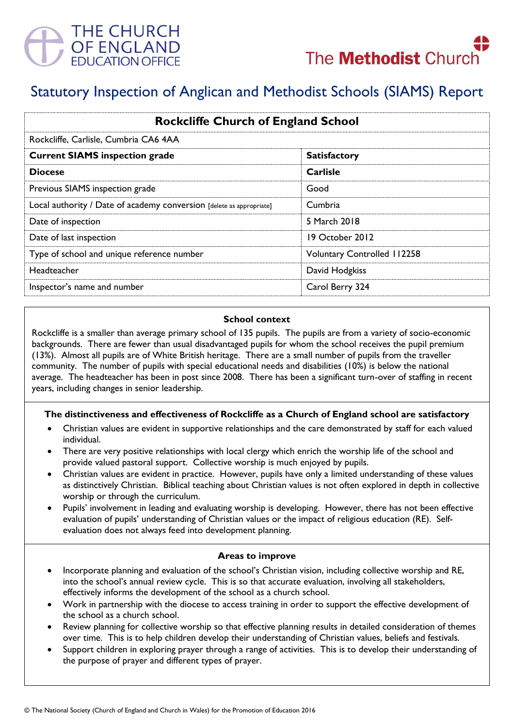



# Statutory Inspection of Anglican and Methodist Schools (SIAMS) Report

| <b>Rockcliffe Church of England School</b>                           |                                    |
|----------------------------------------------------------------------|------------------------------------|
| Rockcliffe, Carlisle, Cumbria CA6 4AA                                |                                    |
| <b>Current SIAMS inspection grade</b>                                | <b>Satisfactory</b>                |
| <b>Diocese</b>                                                       | Carlisle                           |
| Previous SIAMS inspection grade                                      | Good                               |
| Local authority / Date of academy conversion [delete as appropriate] | Cumbria                            |
| Date of inspection                                                   | 5 March 2018                       |
| Date of last inspection                                              | 19 October 2012                    |
| Type of school and unique reference number                           | <b>Voluntary Controlled 112258</b> |
| Headteacher                                                          | David Hodgkiss                     |
| Inspector's name and number                                          | Carol Berry 324                    |

### **School context**

Rockcliffe is a smaller than average primary school of 135 pupils. The pupils are from a variety of socio-economic backgrounds. There are fewer than usual disadvantaged pupils for whom the school receives the pupil premium (13%). Almost all pupils are of White British heritage. There are a small number of pupils from the traveller community. The number of pupils with special educational needs and disabilities (10%) is below the national average. The headteacher has been in post since 2008. There has been a significant turn-over of staffing in recent years, including changes in senior leadership.

#### **The distinctiveness and effectiveness of Rockcliffe as a Church of England school are satisfactory**

- Christian values are evident in supportive relationships and the care demonstrated by staff for each valued individual.
- There are very positive relationships with local clergy which enrich the worship life of the school and provide valued pastoral support. Collective worship is much enjoyed by pupils.
- Christian values are evident in practice. However, pupils have only a limited understanding of these values as distinctively Christian. Biblical teaching about Christian values is not often explored in depth in collective worship or through the curriculum.
- Pupils' involvement in leading and evaluating worship is developing. However, there has not been effective evaluation of pupils' understanding of Christian values or the impact of religious education (RE). Selfevaluation does not always feed into development planning.

#### **Areas to improve**

- Incorporate planning and evaluation of the school's Christian vision, including collective worship and RE, into the school's annual review cycle. This is so that accurate evaluation, involving all stakeholders, effectively informs the development of the school as a church school.
- Work in partnership with the diocese to access training in order to support the effective development of the school as a church school.
- Review planning for collective worship so that effective planning results in detailed consideration of themes over time. This is to help children develop their understanding of Christian values, beliefs and festivals.
- Support children in exploring prayer through a range of activities. This is to develop their understanding of the purpose of prayer and different types of prayer.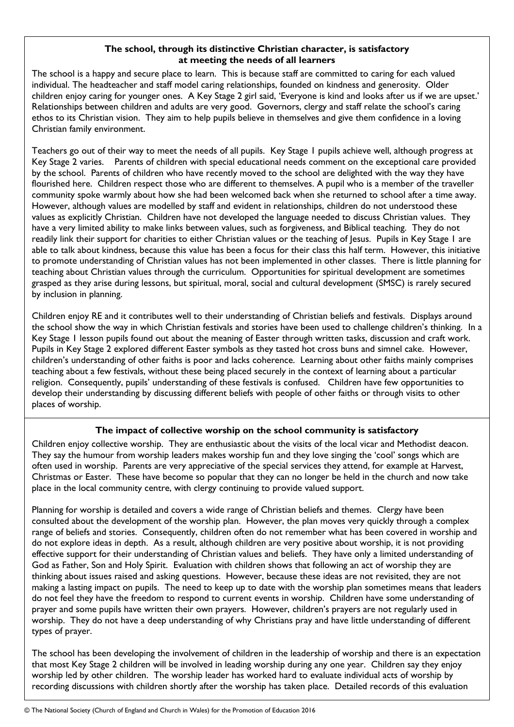# **The school, through its distinctive Christian character, is satisfactory at meeting the needs of all learners**

The school is a happy and secure place to learn. This is because staff are committed to caring for each valued individual. The headteacher and staff model caring relationships, founded on kindness and generosity. Older children enjoy caring for younger ones. A Key Stage 2 girl said, 'Everyone is kind and looks after us if we are upset.' Relationships between children and adults are very good. Governors, clergy and staff relate the school's caring ethos to its Christian vision. They aim to help pupils believe in themselves and give them confidence in a loving Christian family environment.

Teachers go out of their way to meet the needs of all pupils. Key Stage 1 pupils achieve well, although progress at Key Stage 2 varies. Parents of children with special educational needs comment on the exceptional care provided by the school. Parents of children who have recently moved to the school are delighted with the way they have flourished here. Children respect those who are different to themselves. A pupil who is a member of the traveller community spoke warmly about how she had been welcomed back when she returned to school after a time away. However, although values are modelled by staff and evident in relationships, children do not understood these values as explicitly Christian. Children have not developed the language needed to discuss Christian values. They have a very limited ability to make links between values, such as forgiveness, and Biblical teaching. They do not readily link their support for charities to either Christian values or the teaching of Jesus. Pupils in Key Stage 1 are able to talk about kindness, because this value has been a focus for their class this half term. However, this initiative to promote understanding of Christian values has not been implemented in other classes. There is little planning for teaching about Christian values through the curriculum. Opportunities for spiritual development are sometimes grasped as they arise during lessons, but spiritual, moral, social and cultural development (SMSC) is rarely secured by inclusion in planning.

Children enjoy RE and it contributes well to their understanding of Christian beliefs and festivals. Displays around the school show the way in which Christian festivals and stories have been used to challenge children's thinking. In a Key Stage 1 lesson pupils found out about the meaning of Easter through written tasks, discussion and craft work. Pupils in Key Stage 2 explored different Easter symbols as they tasted hot cross buns and simnel cake. However, children's understanding of other faiths is poor and lacks coherence. Learning about other faiths mainly comprises teaching about a few festivals, without these being placed securely in the context of learning about a particular religion. Consequently, pupils' understanding of these festivals is confused. Children have few opportunities to develop their understanding by discussing different beliefs with people of other faiths or through visits to other places of worship.

# **The impact of collective worship on the school community is satisfactory**

Children enjoy collective worship. They are enthusiastic about the visits of the local vicar and Methodist deacon. They say the humour from worship leaders makes worship fun and they love singing the 'cool' songs which are often used in worship. Parents are very appreciative of the special services they attend, for example at Harvest, Christmas or Easter. These have become so popular that they can no longer be held in the church and now take place in the local community centre, with clergy continuing to provide valued support.

Planning for worship is detailed and covers a wide range of Christian beliefs and themes. Clergy have been consulted about the development of the worship plan. However, the plan moves very quickly through a complex range of beliefs and stories. Consequently, children often do not remember what has been covered in worship and do not explore ideas in depth. As a result, although children are very positive about worship, it is not providing effective support for their understanding of Christian values and beliefs. They have only a limited understanding of God as Father, Son and Holy Spirit. Evaluation with children shows that following an act of worship they are thinking about issues raised and asking questions. However, because these ideas are not revisited, they are not making a lasting impact on pupils. The need to keep up to date with the worship plan sometimes means that leaders do not feel they have the freedom to respond to current events in worship. Children have some understanding of prayer and some pupils have written their own prayers. However, children's prayers are not regularly used in worship. They do not have a deep understanding of why Christians pray and have little understanding of different types of prayer.

The school has been developing the involvement of children in the leadership of worship and there is an expectation that most Key Stage 2 children will be involved in leading worship during any one year. Children say they enjoy worship led by other children. The worship leader has worked hard to evaluate individual acts of worship by recording discussions with children shortly after the worship has taken place. Detailed records of this evaluation